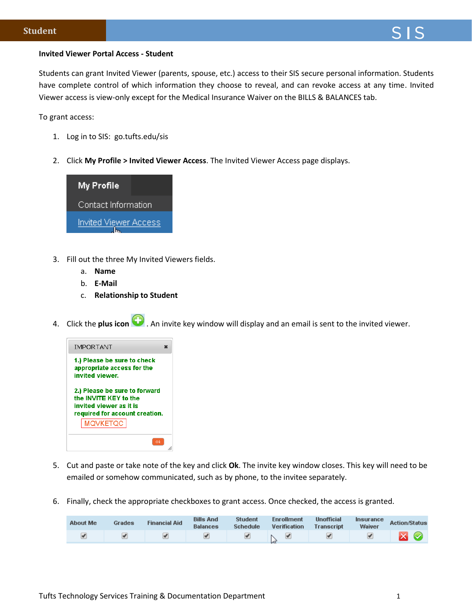## **Invited Viewer Portal Access - Student**

Students can grant Invited Viewer (parents, spouse, etc.) access to their SIS secure personal information. Students have complete control of which information they choose to reveal, and can revoke access at any time. Invited Viewer access is view-only except for the Medical Insurance Waiver on the BILLS & BALANCES tab.

To grant access:

- 1. Log in to SIS: go.tufts.edu/sis
- 2. Click **My Profile > Invited Viewer Access**. The Invited Viewer Access page displays.



- 3. Fill out the three My Invited Viewers fields.
	- a. **Name**
	- b. **E-Mail**
	- c. **Relationship to Student**
- 4. Click the **plus icon** . An invite key window will display and an email is sent to the invited viewer.



- 5. Cut and paste or take note of the key and click **Ok**. The invite key window closes. This key will need to be emailed or somehow communicated, such as by phone, to the invitee separately.
- 6. Finally, check the appropriate checkboxes to grant access. Once checked, the access is granted.

| <b>About Me</b> | Grades | <b>Financial Aid</b> | <b>Bills And</b><br><b>Balances</b> | <b>Student</b><br><b>Schedule</b> | <b>Enrollment</b><br><b>Verification</b> | <b>Unofficial</b><br><b>Transcript</b> | Insurance<br>Waiver | <b>Action/Status</b> |
|-----------------|--------|----------------------|-------------------------------------|-----------------------------------|------------------------------------------|----------------------------------------|---------------------|----------------------|
|                 |        |                      |                                     |                                   |                                          |                                        |                     | Ø                    |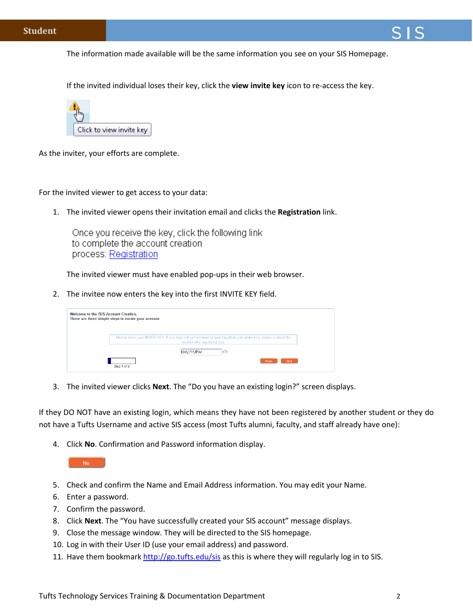The information made available will be the same information you see on your SIS Homepage.

If the invited individual loses their key, click the **view invite key** icon to re-access the key.



As the inviter, your efforts are complete.

For the invited viewer to get access to your data:

1. The invited viewer opens their invitation email and clicks the **Registration** link.

Once you receive the key, click the following link to complete the account creation process: Registration

The invited viewer must have enabled pop-ups in their web browser.

2. The invitee now enters the key into the first INVITE KEY field.

| Welcome to the ISIS Account Creation. | There are three simple steps to create your account.                                                                                            |
|---------------------------------------|-------------------------------------------------------------------------------------------------------------------------------------------------|
|                                       | Please enter your INVITE KEY. If you have not yet received or have forgotten your invite key, please contact the<br>student who registered you. |
|                                       | (?)<br>KMLYYURM                                                                                                                                 |
|                                       | Reset<br><b>Next</b><br>Step 1 of 3                                                                                                             |

3. The invited viewer clicks **Next**. The "Do you have an existing login?" screen displays.

If they DO NOT have an existing login, which means they have not been registered by another student or they do not have a Tufts Username and active SIS access (most Tufts alumni, faculty, and staff already have one):

4. Click **No**. Confirmation and Password information display.

No.

- 5. Check and confirm the Name and Email Address information. You may edit your Name.
- 6. Enter a password.
- 7. Confirm the password.
- 8. Click **Next**. The "You have successfully created your SIS account" message displays.
- 9. Close the message window. They will be directed to the SIS homepage.
- 10. Log in with their User ID (use your email address) and password.
- 11. Have them bookmar[k http://go.tufts.edu/sis](http://go.tufts.edu/sis) as this is where they will regularly log in to SIS.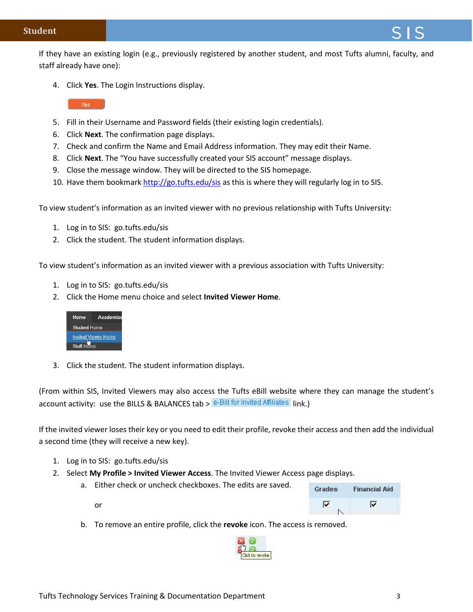## **Student**

If they have an existing login (e.g., previously registered by another student, and most Tufts alumni, faculty, and staff already have one):

4. Click **Yes**. The Login Instructions display.



- 5. Fill in their Username and Password fields (their existing login credentials).
- 6. Click **Next**. The confirmation page displays.
- 7. Check and confirm the Name and Email Address information. They may edit their Name.
- 8. Click **Next**. The "You have successfully created your SIS account" message displays.
- 9. Close the message window. They will be directed to the SIS homepage.
- 10. Have them bookmar[k http://go.tufts.edu/sis](http://go.tufts.edu/sis) as this is where they will regularly log in to SIS.

To view student's information as an invited viewer with no previous relationship with Tufts University:

- 1. Log in to SIS: go.tufts.edu/sis
- 2. Click the student. The student information displays.

To view student's information as an invited viewer with a previous association with Tufts University:

- 1. Log in to SIS: go.tufts.edu/sis
- 2. Click the Home menu choice and select **Invited Viewer Home**.



3. Click the student. The student information displays.

(From within SIS, Invited Viewers may also access the Tufts eBill website where they can manage the student's account activity: use the BILLS & BALANCES tab >  $e$ -Bill for Invited Affiliates  $|$ Ink.)

If the invited viewer loses their key or you need to edit their profile, revoke their access and then add the individual a second time (they will receive a new key).

1. Log in to SIS: go.tufts.edu/sis

or

- 2. Select **My Profile > Invited Viewer Access**. The Invited Viewer Access page displays.
	- a. Either check or uncheck checkboxes. The edits are saved.



b. To remove an entire profile, click the **revoke** icon. The access is removed.